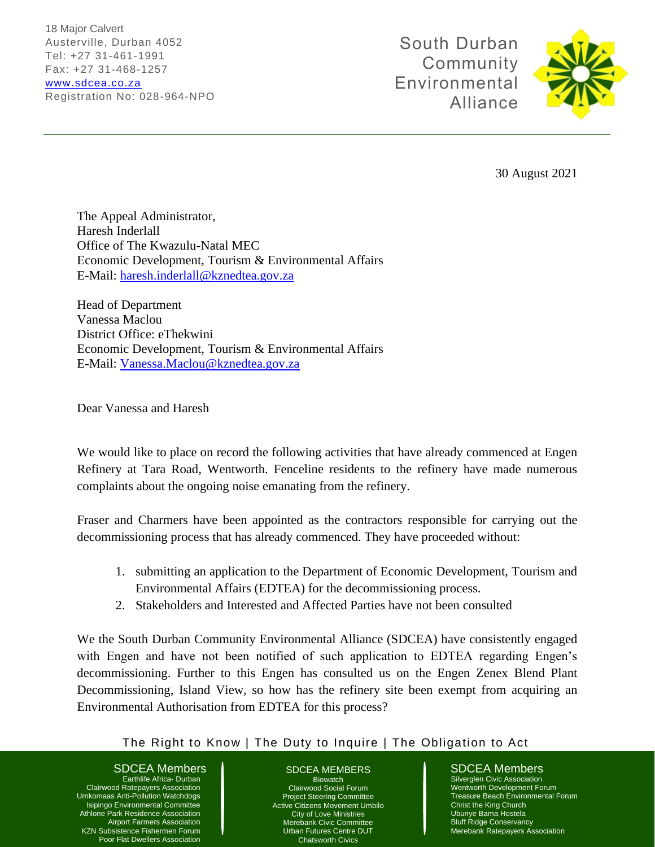18 Major Calvert Austerville, Durban 4052 Tel: +27 31-461-1991 Fax: +27 31-468-1257 [www.sdcea.co.za](http://www.sdcea.co.za/) Registration No: 028-964-NPO

South Durban Community Environmental Alliance



30 August 2021

The Appeal Administrator, Haresh Inderlall Office of The Kwazulu-Natal MEC Economic Development, Tourism & Environmental Affairs E-Mail: [haresh.inderlall@kznedtea.gov.za](mailto:haresh.inderlall@kznedtea.gov.za)

Head of Department Vanessa Maclou District Office: eThekwini Economic Development, Tourism & Environmental Affairs E-Mail: [Vanessa.Maclou@kznedtea.gov.za](mailto:Vanessa.Maclou@kznedtea.gov.za)

Dear Vanessa and Haresh

We would like to place on record the following activities that have already commenced at Engen Refinery at Tara Road, Wentworth. Fenceline residents to the refinery have made numerous complaints about the ongoing noise emanating from the refinery.

Fraser and Charmers have been appointed as the contractors responsible for carrying out the decommissioning process that has already commenced. They have proceeded without:

- 1. submitting an application to the Department of Economic Development, Tourism and Environmental Affairs (EDTEA) for the decommissioning process.
- 2. Stakeholders and Interested and Affected Parties have not been consulted

We the South Durban Community Environmental Alliance (SDCEA) have consistently engaged with Engen and have not been notified of such application to EDTEA regarding Engen's decommissioning. Further to this Engen has consulted us on the Engen Zenex Blend Plant Decommissioning, Island View, so how has the refinery site been exempt from acquiring an Environmental Authorisation from EDTEA for this process?

# The Right to Know | The Duty to Inquire | The Obligation to Act

SDCEA Members **SDCEA MEMBERS** SDCEA Members

Earthlife Africa- Durban Clairwood Ratepayers Association Umkomaas Anti-Pollution Watchdogs Isipingo Environmental Committee Athlone Park Residence Association Airport Farmers Association KZN Subsistence Fishermen Forum Poor Flat Dwellers Association

### SDCEA MEMBERS **Biowatch** Clairwood Social Forum Project Steering Committee Active Citizens Movement Umbilo City of Love Ministries Merebank Civic Committee Urban Futures Centre DUT

Chatsworth Civics

Silverglen Civic Association Wentworth Development Forum Treasure Beach Environmental Forum Christ the King Church Ubunye Bama Hostela Bluff Ridge Conservancy Merebank Ratepayers Association